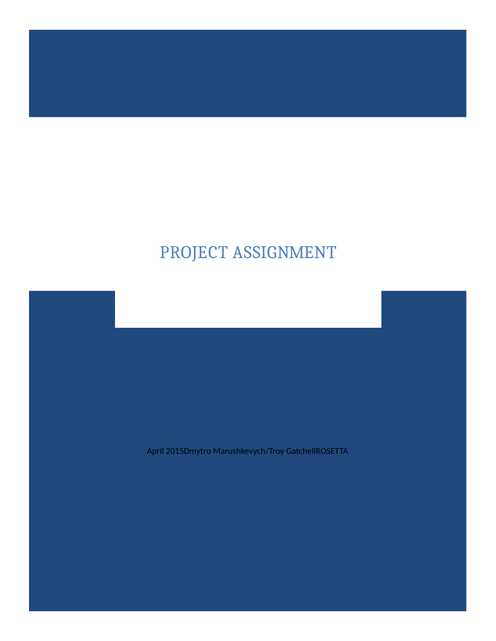# PROJECT ASSIGNMENT

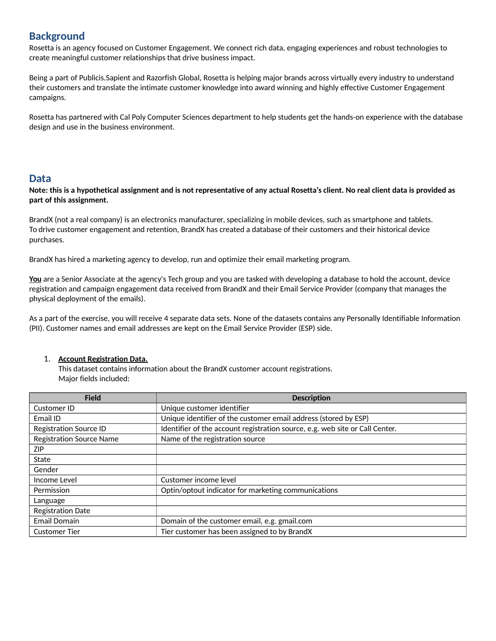## **Background**

Rosetta is an agency focused on Customer Engagement. We connect rich data, engaging experiences and robust technologies to create meaningful customer relationships that drive business impact.

Being a part of Publicis.Sapient and Razorfish Global, Rosetta is helping major brands across virtually every industry to understand their customers and translate the intimate customer knowledge into award winning and highly effective Customer Engagement campaigns.

Rosetta has partnered with Cal Poly Computer Sciences department to help students get the hands-on experience with the database design and use in the business environment.

### **Data**

**Note: this is a hypothetical assignment and is not representative of any actual Rosetta's client. No real client data is provided as part of this assignment.**

BrandX (not a real company) is an electronics manufacturer, specializing in mobile devices, such as smartphone and tablets. To drive customer engagement and retention, BrandX has created a database of their customers and their historical device purchases.

BrandX has hired a marketing agency to develop, run and optimize their email marketing program.

**You** are a Senior Associate at the agency's Tech group and you are tasked with developing a database to hold the account, device registration and campaign engagement data received from BrandX and their Email Service Provider (company that manages the physical deployment of the emails).

As a part of the exercise, you will receive 4 separate data sets. None of the datasets contains any Personally Identifiable Information (PII). Customer names and email addresses are kept on the Email Service Provider (ESP) side.

### 1. **Account Registration Data.**

This dataset contains information about the BrandX customer account registrations. Major fields included:

| <b>Field</b>                    | <b>Description</b>                                                           |
|---------------------------------|------------------------------------------------------------------------------|
| Customer ID                     | Unique customer identifier                                                   |
| Email ID                        | Unique identifier of the customer email address (stored by ESP)              |
| <b>Registration Source ID</b>   | Identifier of the account registration source, e.g. web site or Call Center. |
| <b>Registration Source Name</b> | Name of the registration source                                              |
| ZIP                             |                                                                              |
| State                           |                                                                              |
| Gender                          |                                                                              |
| Income Level                    | Customer income level                                                        |
| Permission                      | Optin/optout indicator for marketing communications                          |
| Language                        |                                                                              |
| <b>Registration Date</b>        |                                                                              |
| <b>Email Domain</b>             | Domain of the customer email, e.g. gmail.com                                 |
| <b>Customer Tier</b>            | Tier customer has been assigned to by BrandX                                 |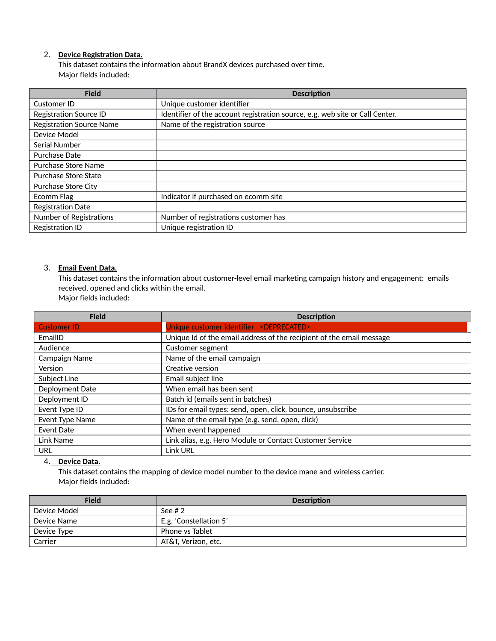### 2. **Device Registration Data.**

This dataset contains the information about BrandX devices purchased over time. Major fields included:

| <b>Field</b>                    | <b>Description</b>                                                           |
|---------------------------------|------------------------------------------------------------------------------|
| Customer ID                     | Unique customer identifier                                                   |
| <b>Registration Source ID</b>   | Identifier of the account registration source, e.g. web site or Call Center. |
| <b>Registration Source Name</b> | Name of the registration source                                              |
| Device Model                    |                                                                              |
| Serial Number                   |                                                                              |
| Purchase Date                   |                                                                              |
| Purchase Store Name             |                                                                              |
| Purchase Store State            |                                                                              |
| Purchase Store City             |                                                                              |
| Ecomm Flag                      | Indicator if purchased on ecomm site                                         |
| <b>Registration Date</b>        |                                                                              |
| Number of Registrations         | Number of registrations customer has                                         |
| <b>Registration ID</b>          | Unique registration ID                                                       |

### 3. **Email Event Data.**

This dataset contains the information about customer-level email marketing campaign history and engagement: emails received, opened and clicks within the email.

Major fields included:

| <b>Field</b>       | <b>Description</b>                                                   |
|--------------------|----------------------------------------------------------------------|
| <b>Customer ID</b> | Unique customer identifier <deprecated></deprecated>                 |
| EmailID            | Unique Id of the email address of the recipient of the email message |
| Audience           | Customer segment                                                     |
| Campaign Name      | Name of the email campaign                                           |
| Version            | Creative version                                                     |
| Subject Line       | Email subject line                                                   |
| Deployment Date    | When email has been sent                                             |
| Deployment ID      | Batch id (emails sent in batches)                                    |
| Event Type ID      | IDs for email types: send, open, click, bounce, unsubscribe          |
| Event Type Name    | Name of the email type (e.g. send, open, click)                      |
| Event Date         | When event happened                                                  |
| Link Name          | Link alias, e.g. Hero Module or Contact Customer Service             |
| URL                | <b>Link URL</b>                                                      |

### 4. **Device Data.**

This dataset contains the mapping of device model number to the device mane and wireless carrier. Major fields included:

| <b>Field</b> | <b>Description</b>     |
|--------------|------------------------|
| Device Model | See $#2$               |
| Device Name  | E.g. 'Constellation 5' |
| Device Type  | Phone vs Tablet        |
| Carrier      | AT&T, Verizon, etc.    |